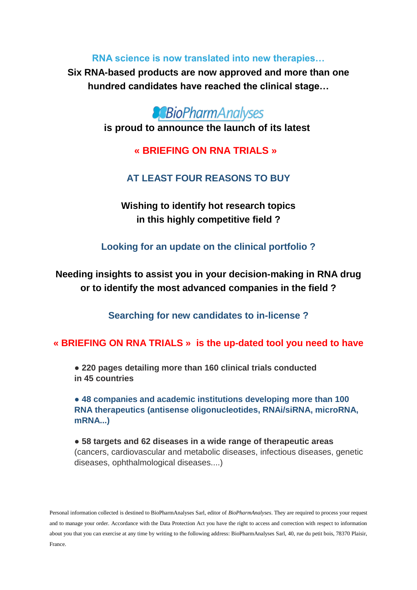**RNA science is now translated into new therapies…**

**Six RNA-based products are now approved and more than one hundred candidates have reached the clinical stage…**



**is proud to announce the launch of its latest**

**« BRIEFING ON RNA TRIALS »** 

## **AT LEAST FOUR REASONS TO BUY**

**Wishing to identify hot research topics in this highly competitive field ?**

**Looking for an update on the clinical portfolio ?**

**Needing insights to assist you in your decision-making in RNA drug or to identify the most advanced companies in the field ?**

**Searching for new candidates to in-license ?**

## **« BRIEFING ON RNA TRIALS » is the up-dated tool you need to have**

● **220 pages detailing more than 160 clinical trials conducted in 45 countries**

**● 48 companies and academic institutions developing more than 100 RNA therapeutics (antisense oligonucleotides, RNAi/siRNA, microRNA, mRNA...)**

● **58 targets and 62 diseases in a wide range of therapeutic areas** (cancers, cardiovascular and metabolic diseases, infectious diseases, genetic diseases, ophthalmological diseases....)

Personal information collected is destined to BioPharmAnalyses Sarl, editor of *BioPharmAnalyses*. They are required to process your request and to manage your order. Accordance with the Data Protection Act you have the right to access and correction with respect to information about you that you can exercise at any time by writing to the following address: BioPharmAnalyses Sarl, 40, rue du petit bois, 78370 Plaisir, France.